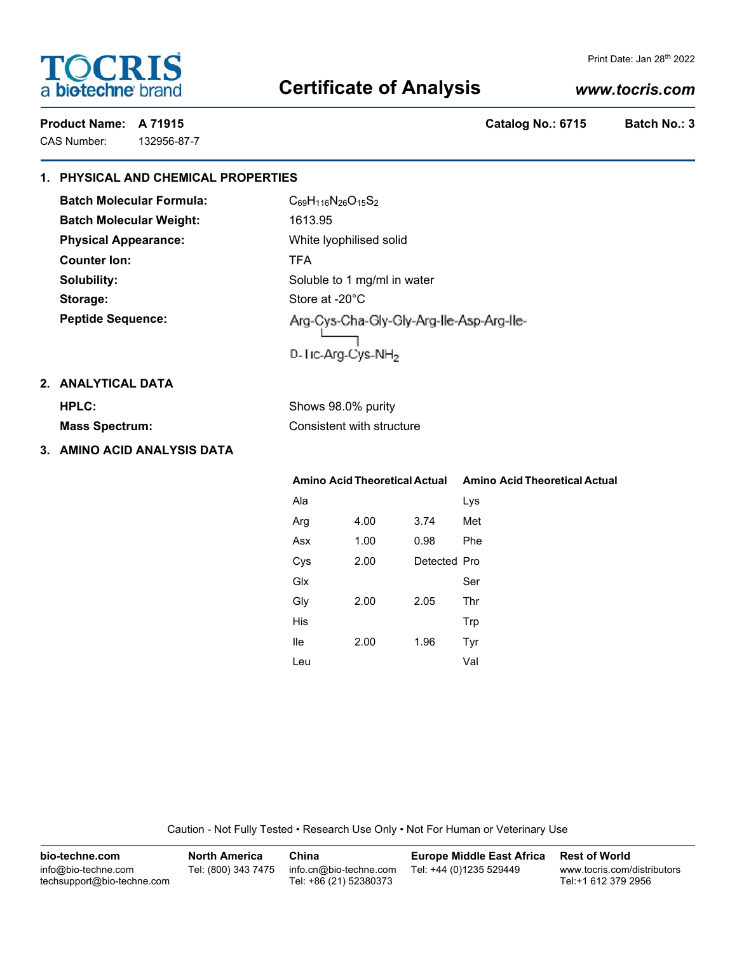# **TOCRIS** a biotechne brand

#### Print Date: Jan 28th 2022

## **Certificate of Analysis**

## *www.tocris.com*

CAS Number: 132956-87-7

**Product Name: A 71915 Catalog No.: 6715 Batch No.: 3**

## **1. PHYSICAL AND CHEMICAL PROPERTIES**

**Batch Molecular Formula:** C<sub>69</sub>H<sub>116</sub>N<sub>26</sub>O<sub>15</sub>S<sub>2</sub> **Batch Molecular Weight:** 1613.95 **Physical Appearance:** White lyophilised solid **Counter Ion:** TFA Storage: Store at -20°C **Peptide Sequence:**

**Solubility:** Soluble to 1 mg/ml in water Arg-Cys-Cha-Gly-Gly-Arg-Ile-Asp-Arg-Ile-D-Tic-Arg-Cys-NH<sub>2</sub>

## **2. ANALYTICAL DATA**

| HPLC:                 | Shows 98.0% purity        |
|-----------------------|---------------------------|
| <b>Mass Spectrum:</b> | Consistent with structure |

**3. AMINO ACID ANALYSIS DATA**

|     | <b>Amino Acid Theoretical Actual</b> |              | <b>Amino Acid Theoretical Actual</b> |
|-----|--------------------------------------|--------------|--------------------------------------|
| Ala |                                      |              | Lys                                  |
| Arg | 4.00                                 | 3.74         | Met                                  |
| Asx | 1.00                                 | 0.98         | Phe                                  |
| Cys | 2.00                                 | Detected Pro |                                      |
| Glx |                                      |              | Ser                                  |
| Gly | 2.00                                 | 2.05         | Thr                                  |
| His |                                      |              | Trp                                  |
| lle | 2.00                                 | 1.96         | Tyr                                  |
| Leu |                                      |              | Val                                  |

Caution - Not Fully Tested • Research Use Only • Not For Human or Veterinary Use

| bio-techne.com                                    | <b>North America</b> | China                                            | Europe Middle East Africa | <b>Rest of World</b>                               |
|---------------------------------------------------|----------------------|--------------------------------------------------|---------------------------|----------------------------------------------------|
| info@bio-techne.com<br>techsupport@bio-techne.com | Tel: (800) 343 7475  | info.cn@bio-techne.com<br>Tel: +86 (21) 52380373 | Tel: +44 (0)1235 529449   | www.tocris.com/distributors<br>Tel:+1 612 379 2956 |